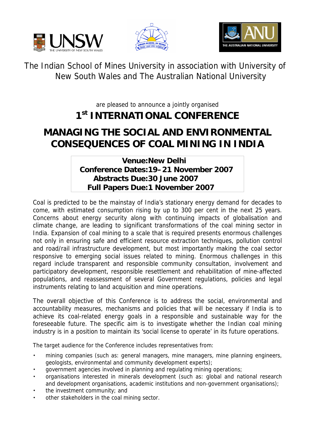





The Indian School of Mines University in association with University of New South Wales and The Australian National University

are pleased to announce a jointly organised

## **1st INTERNATIONAL CONFERENCE**

## **MANAGING THE SOCIAL AND ENVIRONMENTAL CONSEQUENCES OF COAL MINING IN INDIA**

**Venue: New Delhi Conference Dates: 19–21 November 2007 Abstracts Due: 30 June 2007 Full Papers Due: 1 November 2007**

Coal is predicted to be the mainstay of India's stationary energy demand for decades to come, with estimated consumption rising by up to 300 per cent in the next 25 years. Concerns about energy security along with continuing impacts of globalisation and climate change, are leading to significant transformations of the coal mining sector in India. Expansion of coal mining to a scale that is required presents enormous challenges not only in ensuring safe and efficient resource extraction techniques, pollution control and road/rail infrastructure development, but most importantly making the coal sector responsive to emerging social issues related to mining. Enormous challenges in this regard include transparent and responsible community consultation, involvement and participatory development, responsible resettlement and rehabilitation of mine-affected populations, and reassessment of several Government regulations, policies and legal instruments relating to land acquisition and mine operations.

The overall objective of this Conference is to address the social, environmental and accountability measures, mechanisms and policies that will be necessary if India is to achieve its coal-related energy goals in a responsible and sustainable way for the foreseeable future. The specific aim is to investigate whether the Indian coal mining industry is in a position to maintain its 'social license to operate' in its future operations.

The target audience for the Conference includes representatives from:

- mining companies (such as: general managers, mine managers, mine planning engineers, geologists, environmental and community development experts);
- government agencies involved in planning and regulating mining operations;
- organisations interested in minerals development (such as: global and national research and development organisations, academic institutions and non-government organisations);
- the investment community; and
- other stakeholders in the coal mining sector.